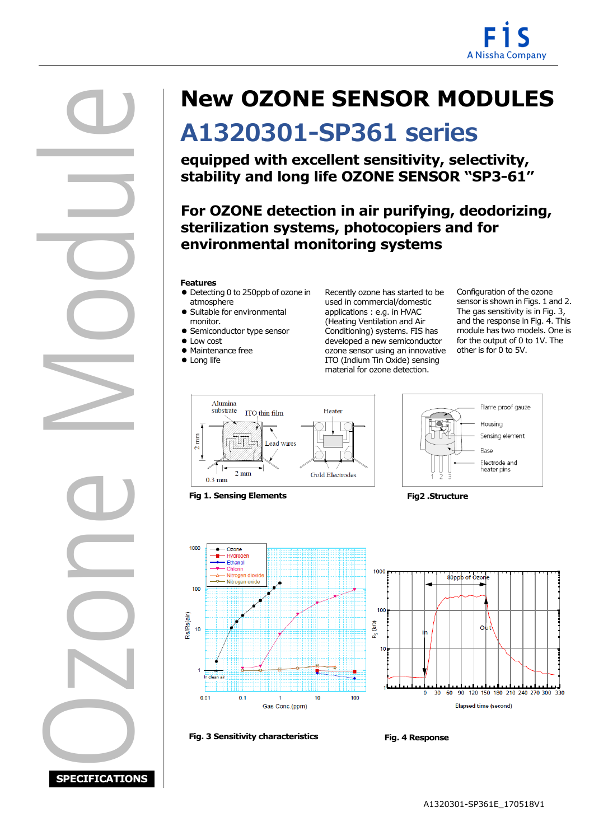

Ozone Module I

# **New OZONE SENSOR MODULES**

# **A1320301-SP361 series**

**equipped with excellent sensitivity, selectivity, stability and long life OZONE SENSOR "SP3-61"**

## **sterilization systems, photocopiers and for For OZONE detection in air purifying, deodorizing, environmental monitoring systems**

#### **Features**

- Detecting 0 to 250ppb of ozone in atmosphere
- Suitable for environmental monitor.
- Semiconductor type sensor
- Low cost
- Maintenance free
- Long life

Recently ozone has started to be used in commercial/domestic applications : e.g. in HVAC (Heating Ventilation and Air Conditioning) systems. FIS has developed a new semiconductor ozone sensor using an innovative ITO (Indium Tin Oxide) sensing material for ozone detection.

Configuration of the ozone sensor is shown in Figs. 1 and 2. The gas sensitivity is in Fig. 3, and the response in Fig. 4. This module has two models. One is for the output of 0 to 1V. The other is for 0 to 5V.



**Fig 1. Sensing Elements Fig2 .Structure**







**Fig. 3 Sensitivity characteristics Fig. 4 Response**